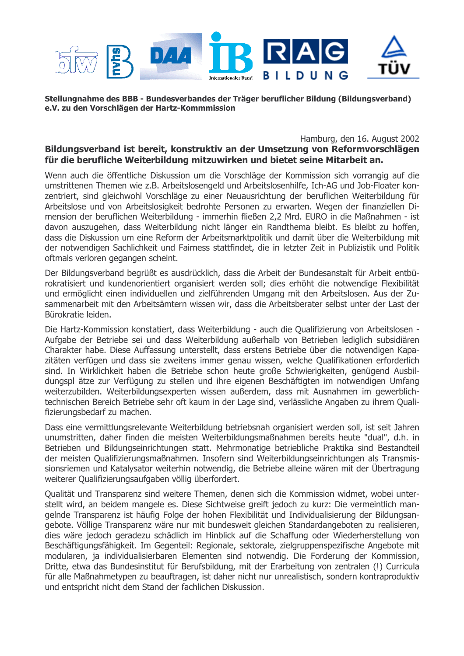

Stellungnahme des BBB - Bundesverbandes der Träger beruflicher Bildung (Bildungsverband) e.V. zu den Vorschlägen der Hartz-Kommmission

Hamburg, den 16. August 2002 Bildungsverband ist bereit, konstruktiv an der Umsetzung von Reformvorschlägen für die berufliche Weiterbildung mitzuwirken und bietet seine Mitarbeit an.

Wenn auch die öffentliche Diskussion um die Vorschläge der Kommission sich vorrangig auf die umstrittenen Themen wie z.B. Arbeitslosengeld und Arbeitslosenhilfe, Ich-AG und Job-Floater konzentriert, sind gleichwohl Vorschläge zu einer Neuausrichtung der beruflichen Weiterbildung für Arbeitslose und von Arbeitslosigkeit bedrohte Personen zu erwarten. Wegen der finanziellen Dimension der beruflichen Weiterbildung - immerhin fließen 2,2 Mrd. EURO in die Maßnahmen - ist davon auszugehen, dass Weiterbildung nicht länger ein Randthema bleibt. Es bleibt zu hoffen, dass die Diskussion um eine Reform der Arbeitsmarktpolitik und damit über die Weiterbildung mit der notwendigen Sachlichkeit und Fairness stattfindet, die in letzter Zeit in Publizistik und Politik oftmals verloren gegangen scheint.

Der Bildungsverband begrüßt es ausdrücklich, dass die Arbeit der Bundesanstalt für Arbeit entbürokratisiert und kundenorientiert organisiert werden soll; dies erhöht die notwendige Flexibilität und ermöglicht einen individuellen und zielführenden Umgang mit den Arbeitslosen. Aus der Zusammenarbeit mit den Arbeitsämtern wissen wir, dass die Arbeitsberater selbst unter der Last der Bürokratie leiden.

Die Hartz-Kommission konstatiert, dass Weiterbildung - auch die Qualifizierung von Arbeitslosen -Aufgabe der Betriebe sei und dass Weiterbildung außerhalb von Betrieben lediglich subsidiären Charakter habe. Diese Auffassung unterstellt, dass erstens Betriebe über die notwendigen Kapazitäten verfügen und dass sie zweitens immer genau wissen, welche Qualifikationen erforderlich sind. In Wirklichkeit haben die Betriebe schon heute große Schwierigkeiten, genügend Ausbildungspl ätze zur Verfügung zu stellen und ihre eigenen Beschäftigten im notwendigen Umfang weiterzubilden. Weiterbildungsexperten wissen außerdem, dass mit Ausnahmen im gewerblichtechnischen Bereich Betriebe sehr oft kaum in der Lage sind, verlässliche Angaben zu ihrem Qualifizierungsbedarf zu machen.

Dass eine vermittlungsrelevante Weiterbildung betriebsnah organisiert werden soll, ist seit Jahren unumstritten, daher finden die meisten Weiterbildungsmaßnahmen bereits heute "dual", d.h. in Betrieben und Bildungseinrichtungen statt. Mehrmonatige betriebliche Praktika sind Bestandteil der meisten Qualifizierungsmaßnahmen. Insofern sind Weiterbildungseinrichtungen als Transmissionsriemen und Katalysator weiterhin notwendig, die Betriebe alleine wären mit der Übertragung weiterer Qualifizierungsaufgaben völlig überfordert.

Qualität und Transparenz sind weitere Themen, denen sich die Kommission widmet, wobei unterstellt wird, an beidem mangele es. Diese Sichtweise greift jedoch zu kurz: Die vermeintlich mangelnde Transparenz ist häufig Folge der hohen Flexibilität und Individualisierung der Bildungsangebote. Völlige Transparenz wäre nur mit bundesweit gleichen Standardangeboten zu realisieren, dies wäre jedoch geradezu schädlich im Hinblick auf die Schaffung oder Wiederherstellung von Beschäftigungsfähigkeit. Im Gegenteil: Regionale, sektorale, zielgruppenspezifische Angebote mit modularen, ja individualisierbaren Elementen sind notwendig. Die Forderung der Kommission, Dritte, etwa das Bundesinstitut für Berufsbildung, mit der Erarbeitung von zentralen (!) Curricula für alle Maßnahmetypen zu beauftragen, ist daher nicht nur unrealistisch, sondern kontraproduktiv und entspricht nicht dem Stand der fachlichen Diskussion.